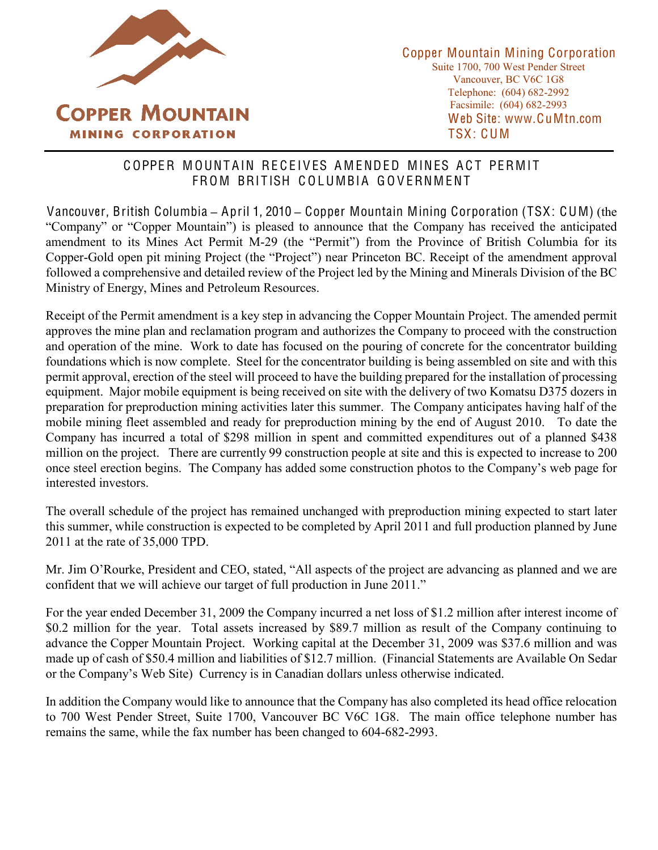

## COPPER MOUNTAIN RECEIVES AMENDED MINES ACT PERMIT FROM BRITISH COLUMBIA GOVERNMENT

Vancouver, British Columbia **±** April 1, 2010 **±** Copper Mountain Mining Corporation (TSX: CUM) (the "Company" or "Copper Mountain") is pleased to announce that the Company has received the anticipated amendment to its Mines Act Permit M-29 (the "Permit") from the Province of British Columbia for its Copper-Gold open pit mining Project (the "Project") near Princeton BC. Receipt of the amendment approval followed a comprehensive and detailed review of the Project led by the Mining and Minerals Division of the BC Ministry of Energy, Mines and Petroleum Resources.

Receipt of the Permit amendment is a key step in advancing the Copper Mountain Project. The amended permit approves the mine plan and reclamation program and authorizes the Company to proceed with the construction and operation of the mine. Work to date has focused on the pouring of concrete for the concentrator building foundations which is now complete. Steel for the concentrator building is being assembled on site and with this permit approval, erection of the steel will proceed to have the building prepared for the installation of processing equipment. Major mobile equipment is being received on site with the delivery of two Komatsu D375 dozers in preparation for preproduction mining activities later this summer. The Company anticipates having half of the mobile mining fleet assembled and ready for preproduction mining by the end of August 2010. To date the Company has incurred a total of \$298 million in spent and committed expenditures out of a planned \$438 million on the project. There are currently 99 construction people at site and this is expected to increase to 200 once steel erection begins. The Company has added some construction photos to the Company's web page for interested investors.

The overall schedule of the project has remained unchanged with preproduction mining expected to start later this summer, while construction is expected to be completed by April 2011 and full production planned by June 2011 at the rate of 35,000 TPD.

Mr. Jim O'Rourke, President and CEO, stated, "All aspects of the project are advancing as planned and we are confident that we will achieve our target of full production in June 2011.´

For the year ended December 31, 2009 the Company incurred a net loss of \$1.2 million after interest income of \$0.2 million for the year. Total assets increased by \$89.7 million as result of the Company continuing to advance the Copper Mountain Project. Working capital at the December 31, 2009 was \$37.6 million and was made up of cash of \$50.4 million and liabilities of \$12.7 million. (Financial Statements are Available On Sedar or the Company's Web Site) Currency is in Canadian dollars unless otherwise indicated.

In addition the Company would like to announce that the Company has also completed its head office relocation to 700 West Pender Street, Suite 1700, Vancouver BC V6C 1G8. The main office telephone number has remains the same, while the fax number has been changed to 604-682-2993.